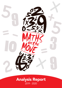

## Analysis Report 2019 - 2020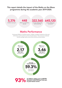#### This report details the impact of the Maths on the Move programme during the academic year 2019-2020.

5,376 children took part



322,560 minutes of physically active learning

645,120 maths challenges answered

#### Maths Performance

During each Maths on the Move session, children complete 5 questions at the start of the lesson and 5 questions at the end of the lesson. Their scores are collected and the average results across all the schools are shown below.

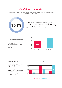### Confidence in Maths

The children were asked to self-assess their perceived confidence when faced with a maths question. Scale 1-10. (1 – low, 10 - high)



#### 80.1% of children reported improved confidence in maths as a result of taking part in Maths on the Move



On average the children increased their confidence scores by 47%.

The average pre course confidence score was 5.27 and the average post course confidence score was 7.76.

Before the programme, 23.9% of the children gave themselves low confidence scores (1-3). After the programme, this decreased to 5.5% of the children.

Before the programme, 21% of the children considered themselves to be highly confident (scores 8-10). After the programme, this had increased to 61.1%.

#### Confidence Levels



Pre Programme Post Programme